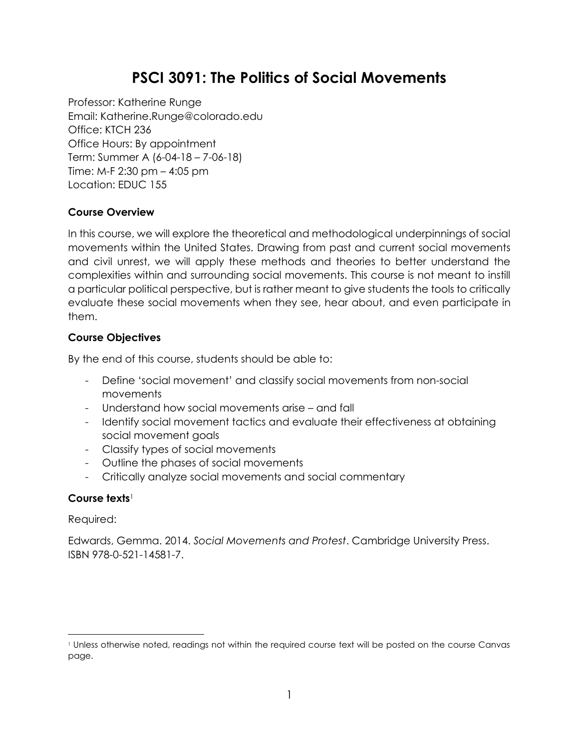# **PSCI 3091: The Politics of Social Movements**

Professor: Katherine Runge Email: Katherine.Runge@colorado.edu Office: KTCH 236 Office Hours: By appointment Term: Summer A (6-04-18 – 7-06-18) Time: M-F 2:30 pm – 4:05 pm Location: EDUC 155

#### **Course Overview**

In this course, we will explore the theoretical and methodological underpinnings of social movements within the United States. Drawing from past and current social movements and civil unrest, we will apply these methods and theories to better understand the complexities within and surrounding social movements. This course is not meant to instill a particular political perspective, but is rather meant to give students the tools to critically evaluate these social movements when they see, hear about, and even participate in them.

#### **Course Objectives**

By the end of this course, students should be able to:

- Define 'social movement' and classify social movements from non-social movements
- Understand how social movements arise and fall
- Identify social movement tactics and evaluate their effectiveness at obtaining social movement goals
- Classify types of social movements
- Outline the phases of social movements
- Critically analyze social movements and social commentary

#### **Course texts**<sup>1</sup>

Required:

Edwards, Gemma. 2014. *Social Movements and Protest*. Cambridge University Press. ISBN 978-0-521-14581-7.

 $\overline{a}$ <sup>1</sup> Unless otherwise noted, readings not within the required course text will be posted on the course Canvas page.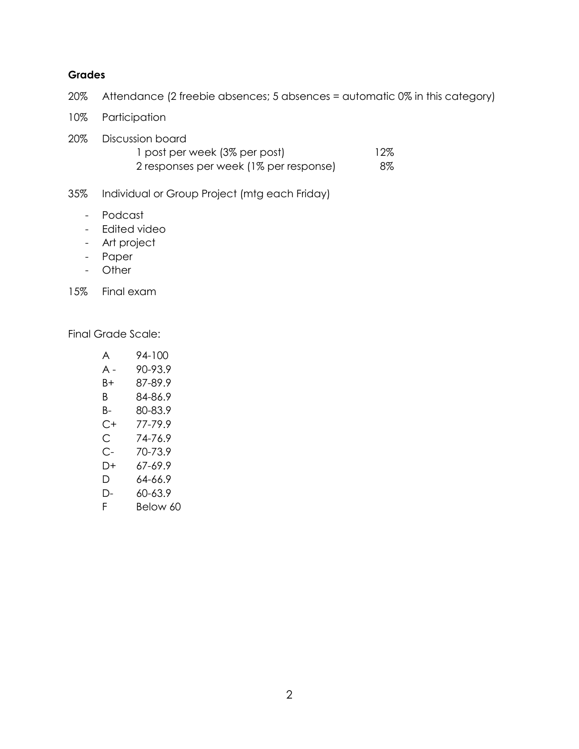#### **Grades**

20% Attendance (2 freebie absences; 5 absences = automatic 0% in this category)

- 10% Participation
- 20% Discussion board 1 post per week (3% per post) 12%
	- 2 responses per week (1% per response) 8%

35% Individual or Group Project (mtg each Friday)

- Podcast
- Edited video
- Art project
- Paper
- Other

15% Final exam

Final Grade Scale:

| A   | 94-100   |
|-----|----------|
| A - | 90-93.9  |
| B+  | 87-89.9  |
| B.  | 84-86.9  |
| B-  | 80-83.9  |
| C+  | 77-79.9  |
| С   | 74-76.9  |
| С-  | 70-73.9  |
| D+  | 67-69.9  |
| D   | 64-66.9  |
| Ŋ-  | 60-63.9  |
| F.  | Below 60 |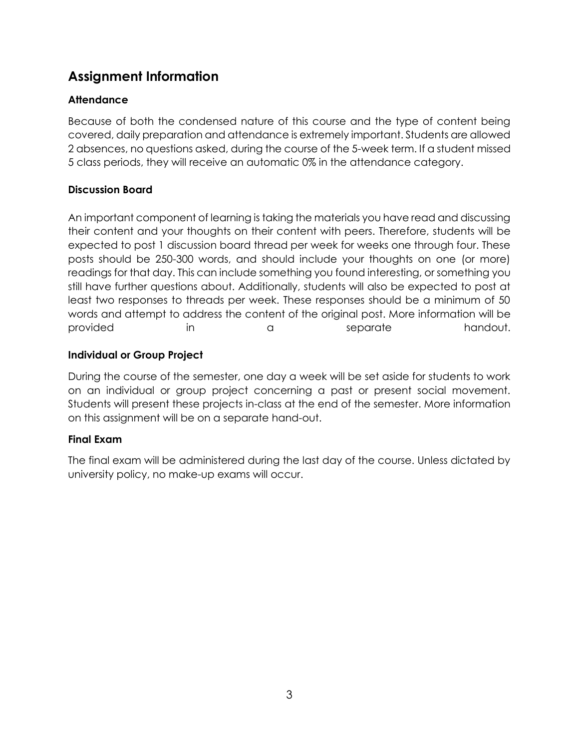## **Assignment Information**

## **Attendance**

Because of both the condensed nature of this course and the type of content being covered, daily preparation and attendance is extremely important. Students are allowed 2 absences, no questions asked, during the course of the 5-week term. If a student missed 5 class periods, they will receive an automatic 0% in the attendance category.

#### **Discussion Board**

An important component of learning is taking the materials you have read and discussing their content and your thoughts on their content with peers. Therefore, students will be expected to post 1 discussion board thread per week for weeks one through four. These posts should be 250-300 words, and should include your thoughts on one (or more) readings for that day. This can include something you found interesting, or something you still have further questions about. Additionally, students will also be expected to post at least two responses to threads per week. These responses should be a minimum of 50 words and attempt to address the content of the original post. More information will be provided in a separate handout.

#### **Individual or Group Project**

During the course of the semester, one day a week will be set aside for students to work on an individual or group project concerning a past or present social movement. Students will present these projects in-class at the end of the semester. More information on this assignment will be on a separate hand-out.

#### **Final Exam**

The final exam will be administered during the last day of the course. Unless dictated by university policy, no make-up exams will occur.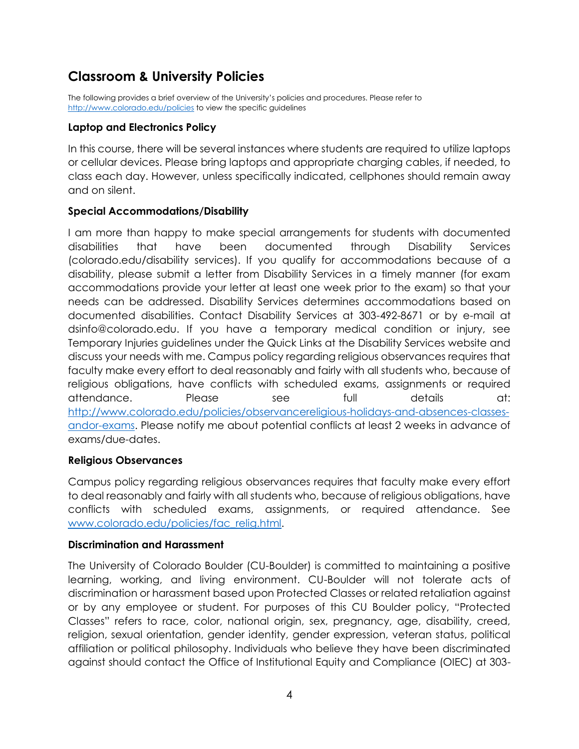## **Classroom & University Policies**

The following provides a brief overview of the University's policies and procedures. Please refer to <http://www.colorado.edu/policies> to view the specific guidelines

#### **Laptop and Electronics Policy**

In this course, there will be several instances where students are required to utilize laptops or cellular devices. Please bring laptops and appropriate charging cables, if needed, to class each day. However, unless specifically indicated, cellphones should remain away and on silent.

#### **Special Accommodations/Disability**

I am more than happy to make special arrangements for students with documented disabilities that have been documented through Disability Services (colorado.edu/disability services). If you qualify for accommodations because of a disability, please submit a letter from Disability Services in a timely manner (for exam accommodations provide your letter at least one week prior to the exam) so that your needs can be addressed. Disability Services determines accommodations based on documented disabilities. Contact Disability Services at 303-492-8671 or by e-mail at dsinfo@colorado.edu. If you have a temporary medical condition or injury, see Temporary Injuries guidelines under the Quick Links at the Disability Services website and discuss your needs with me. Campus policy regarding religious observances requires that faculty make every effort to deal reasonably and fairly with all students who, because of religious obligations, have conflicts with scheduled exams, assignments or required attendance. Please see full details at: [http://www.colorado.edu/policies/observancereligious-holidays-and-absences-classes](http://www.colorado.edu/policies/observancereligious-holidays-and-absences-classes-andor-exams)[andor-exams.](http://www.colorado.edu/policies/observancereligious-holidays-and-absences-classes-andor-exams) Please notify me about potential conflicts at least 2 weeks in advance of exams/due-dates.

#### **Religious Observances**

Campus policy regarding religious observances requires that faculty make every effort to deal reasonably and fairly with all students who, because of religious obligations, have conflicts with scheduled exams, assignments, or required attendance. See [www.colorado.edu/policies/fac\\_relig.html.](http://www.colorado.edu/policies/fac_relig.html)

#### **Discrimination and Harassment**

The University of Colorado Boulder (CU-Boulder) is committed to maintaining a positive learning, working, and living environment. CU-Boulder will not tolerate acts of discrimination or harassment based upon Protected Classes or related retaliation against or by any employee or student. For purposes of this CU Boulder policy, "Protected Classes" refers to race, color, national origin, sex, pregnancy, age, disability, creed, religion, sexual orientation, gender identity, gender expression, veteran status, political affiliation or political philosophy. Individuals who believe they have been discriminated against should contact the Office of Institutional Equity and Compliance (OIEC) at 303-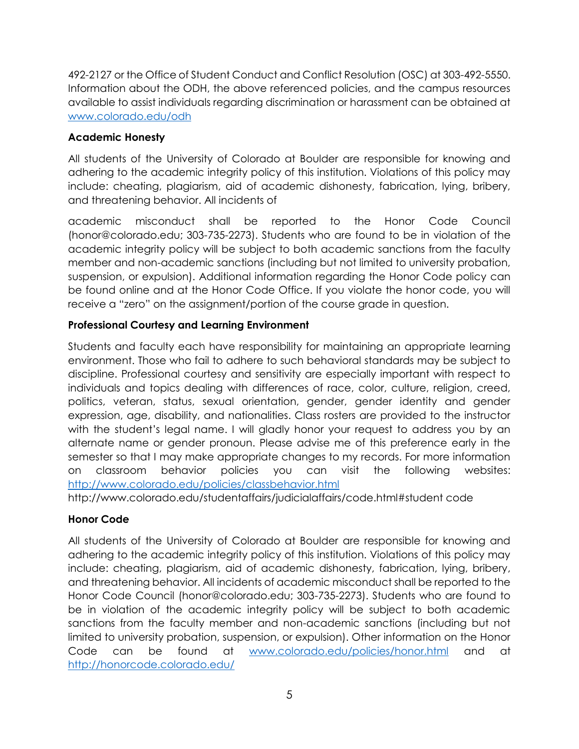492-2127 or the Office of Student Conduct and Conflict Resolution (OSC) at 303-492-5550. Information about the ODH, the above referenced policies, and the campus resources available to assist individuals regarding discrimination or harassment can be obtained at [www.colorado.edu/odh](http://www.colorado.edu/odh)

### **Academic Honesty**

All students of the University of Colorado at Boulder are responsible for knowing and adhering to the academic integrity policy of this institution. Violations of this policy may include: cheating, plagiarism, aid of academic dishonesty, fabrication, lying, bribery, and threatening behavior. All incidents of

academic misconduct shall be reported to the Honor Code Council (honor@colorado.edu; 303-735-2273). Students who are found to be in violation of the academic integrity policy will be subject to both academic sanctions from the faculty member and non-academic sanctions (including but not limited to university probation, suspension, or expulsion). Additional information regarding the Honor Code policy can be found online and at the Honor Code Office. If you violate the honor code, you will receive a "zero" on the assignment/portion of the course grade in question.

## **Professional Courtesy and Learning Environment**

Students and faculty each have responsibility for maintaining an appropriate learning environment. Those who fail to adhere to such behavioral standards may be subject to discipline. Professional courtesy and sensitivity are especially important with respect to individuals and topics dealing with differences of race, color, culture, religion, creed, politics, veteran, status, sexual orientation, gender, gender identity and gender expression, age, disability, and nationalities. Class rosters are provided to the instructor with the student's legal name. I will gladly honor your request to address you by an alternate name or gender pronoun. Please advise me of this preference early in the semester so that I may make appropriate changes to my records. For more information on classroom behavior policies you can visit the following websites: <http://www.colorado.edu/policies/classbehavior.html>

http://www.colorado.edu/studentaffairs/judicialaffairs/code.html#student code

## **Honor Code**

All students of the University of Colorado at Boulder are responsible for knowing and adhering to the academic integrity policy of this institution. Violations of this policy may include: cheating, plagiarism, aid of academic dishonesty, fabrication, lying, bribery, and threatening behavior. All incidents of academic misconduct shall be reported to the Honor Code Council (honor@colorado.edu; 303-735-2273). Students who are found to be in violation of the academic integrity policy will be subject to both academic sanctions from the faculty member and non-academic sanctions (including but not limited to university probation, suspension, or expulsion). Other information on the Honor Code can be found at [www.colorado.edu/policies/honor.html](http://www.colorado.edu/policies/honor.html) and at <http://honorcode.colorado.edu/>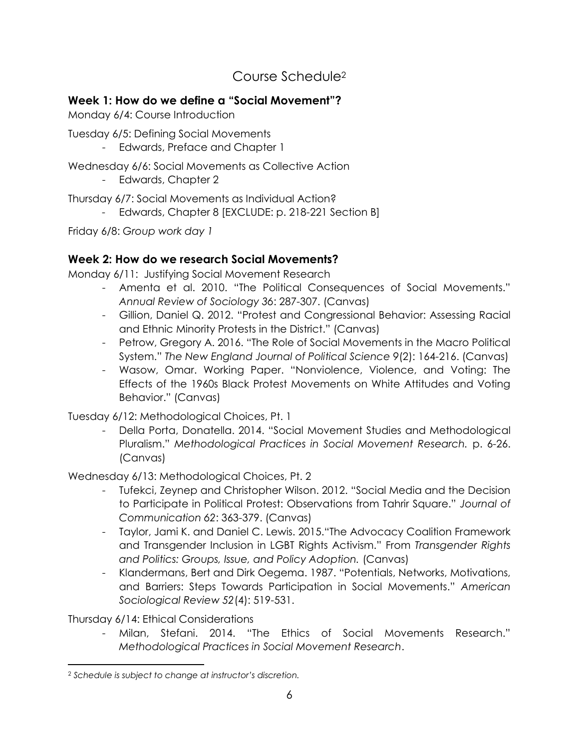Course Schedule<sup>2</sup>

## **Week 1: How do we define a "Social Movement"?**

Monday 6/4: Course Introduction

Tuesday 6/5: Defining Social Movements

- Edwards, Preface and Chapter 1

Wednesday 6/6: Social Movements as Collective Action

- Edwards, Chapter 2

Thursday 6/7: Social Movements as Individual Action?

*-* Edwards, Chapter 8 [EXCLUDE: p. 218-221 Section B]

Friday 6/8: *Group work day 1*

## **Week 2: How do we research Social Movements?**

Monday 6/11: Justifying Social Movement Research

- Amenta et al. 2010. "The Political Consequences of Social Movements." *Annual Review of Sociology 36*: 287-307. (Canvas)
- Gillion, Daniel Q. 2012. "Protest and Congressional Behavior: Assessing Racial and Ethnic Minority Protests in the District." (Canvas)
- Petrow, Gregory A. 2016. "The Role of Social Movements in the Macro Political System." *The New England Journal of Political Science 9*(2): 164-216. (Canvas)
- Wasow, Omar. Working Paper. "Nonviolence, Violence, and Voting: The Effects of the 1960s Black Protest Movements on White Attitudes and Voting Behavior." (Canvas)

Tuesday 6/12: Methodological Choices, Pt. 1

- Della Porta, Donatella. 2014. "Social Movement Studies and Methodological Pluralism." *Methodological Practices in Social Movement Research.* p. 6-26. (Canvas)

Wednesday 6/13: Methodological Choices, Pt. 2

- Tufekci, Zeynep and Christopher Wilson. 2012. "Social Media and the Decision to Participate in Political Protest: Observations from Tahrir Square." *Journal of Communication 62*: 363-379. (Canvas)
- Taylor, Jami K. and Daniel C. Lewis. 2015."The Advocacy Coalition Framework and Transgender Inclusion in LGBT Rights Activism." From *Transgender Rights and Politics: Groups, Issue, and Policy Adoption.* (Canvas)
- Klandermans, Bert and Dirk Oegema. 1987. "Potentials, Networks, Motivations, and Barriers: Steps Towards Participation in Social Movements." *American Sociological Review 52*(4): 519-531.

Thursday 6/14: Ethical Considerations

- Milan, Stefani. 2014. "The Ethics of Social Movements Research." *Methodological Practices in Social Movement Research*.

 $\overline{\phantom{a}}$ <sup>2</sup> *Schedule is subject to change at instructor's discretion.*